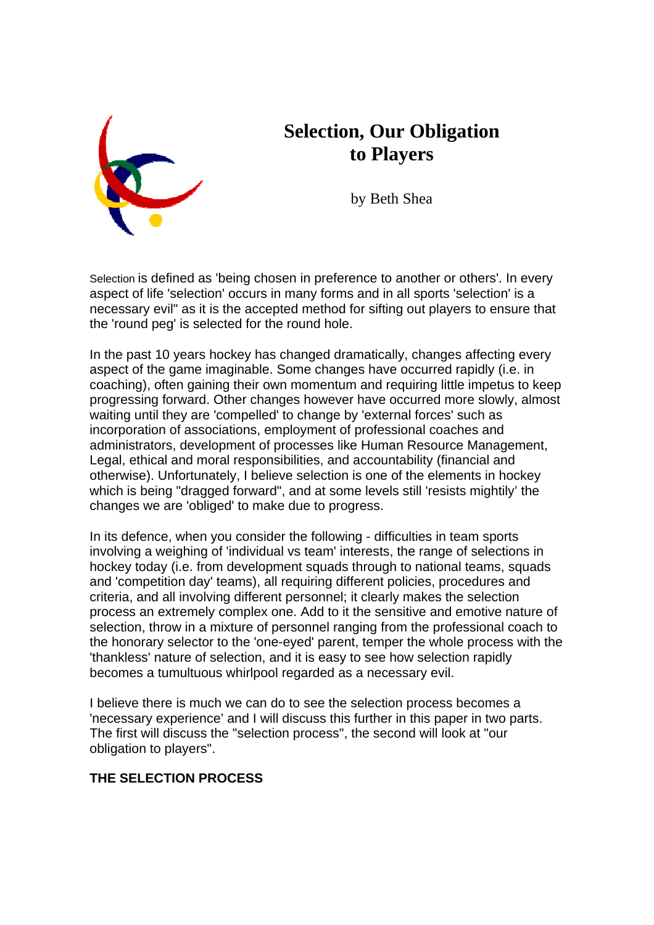

# **Selection, Our Obligation to Players**

by Beth Shea

Selection is defined as 'being chosen in preference to another or others'. In every aspect of life 'selection' occurs in many forms and in all sports 'selection' is a necessary evil" as it is the accepted method for sifting out players to ensure that the 'round peg' is selected for the round hole.

In the past 10 years hockey has changed dramatically, changes affecting every aspect of the game imaginable. Some changes have occurred rapidly (i.e. in coaching), often gaining their own momentum and requiring little impetus to keep progressing forward. Other changes however have occurred more slowly, almost waiting until they are 'compelled' to change by 'external forces' such as incorporation of associations, employment of professional coaches and administrators, development of processes like Human Resource Management, Legal, ethical and moral responsibilities, and accountability (financial and otherwise). Unfortunately, I believe selection is one of the elements in hockey which is being "dragged forward", and at some levels still 'resists mightily' the changes we are 'obliged' to make due to progress.

In its defence, when you consider the following - difficulties in team sports involving a weighing of 'individual vs team' interests, the range of selections in hockey today (i.e. from development squads through to national teams, squads and 'competition day' teams), all requiring different policies, procedures and criteria, and all involving different personnel; it clearly makes the selection process an extremely complex one. Add to it the sensitive and emotive nature of selection, throw in a mixture of personnel ranging from the professional coach to the honorary selector to the 'one-eyed' parent, temper the whole process with the 'thankless' nature of selection, and it is easy to see how selection rapidly becomes a tumultuous whirlpool regarded as a necessary evil.

I believe there is much we can do to see the selection process becomes a 'necessary experience' and I will discuss this further in this paper in two parts. The first will discuss the "selection process", the second will look at "our obligation to players".

## **THE SELECTION PROCESS**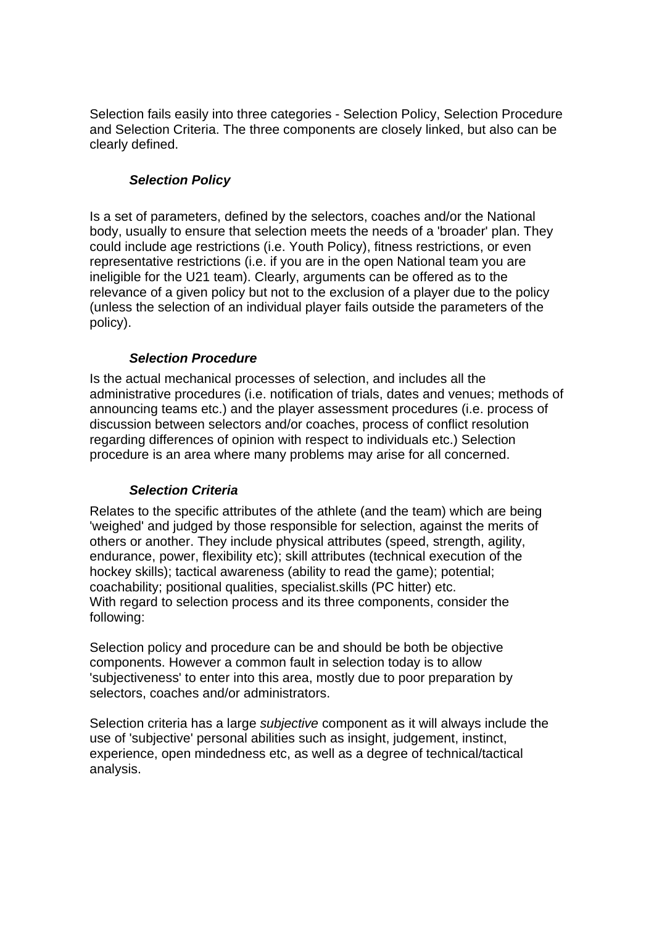Selection fails easily into three categories - Selection Policy, Selection Procedure and Selection Criteria. The three components are closely linked, but also can be clearly defined.

### *Selection Policy*

Is a set of parameters, defined by the selectors, coaches and/or the National body, usually to ensure that selection meets the needs of a 'broader' plan. They could include age restrictions (i.e. Youth Policy), fitness restrictions, or even representative restrictions (i.e. if you are in the open National team you are ineligible for the U21 team). Clearly, arguments can be offered as to the relevance of a given policy but not to the exclusion of a player due to the policy (unless the selection of an individual player fails outside the parameters of the policy).

#### *Selection Procedure*

Is the actual mechanical processes of selection, and includes all the administrative procedures (i.e. notification of trials, dates and venues; methods of announcing teams etc.) and the player assessment procedures (i.e. process of discussion between selectors and/or coaches, process of conflict resolution regarding differences of opinion with respect to individuals etc.) Selection procedure is an area where many problems may arise for all concerned.

## *Selection Criteria*

Relates to the specific attributes of the athlete (and the team) which are being 'weighed' and judged by those responsible for selection, against the merits of others or another. They include physical attributes (speed, strength, agility, endurance, power, flexibility etc); skill attributes (technical execution of the hockey skills); tactical awareness (ability to read the game); potential; coachability; positional qualities, specialist.skills (PC hitter) etc. With regard to selection process and its three components, consider the following:

Selection policy and procedure can be and should be both be objective components. However a common fault in selection today is to allow 'subjectiveness' to enter into this area, mostly due to poor preparation by selectors, coaches and/or administrators.

Selection criteria has a large *subjective* component as it will always include the use of 'subjective' personal abilities such as insight, judgement, instinct, experience, open mindedness etc, as well as a degree of technical/tactical analysis.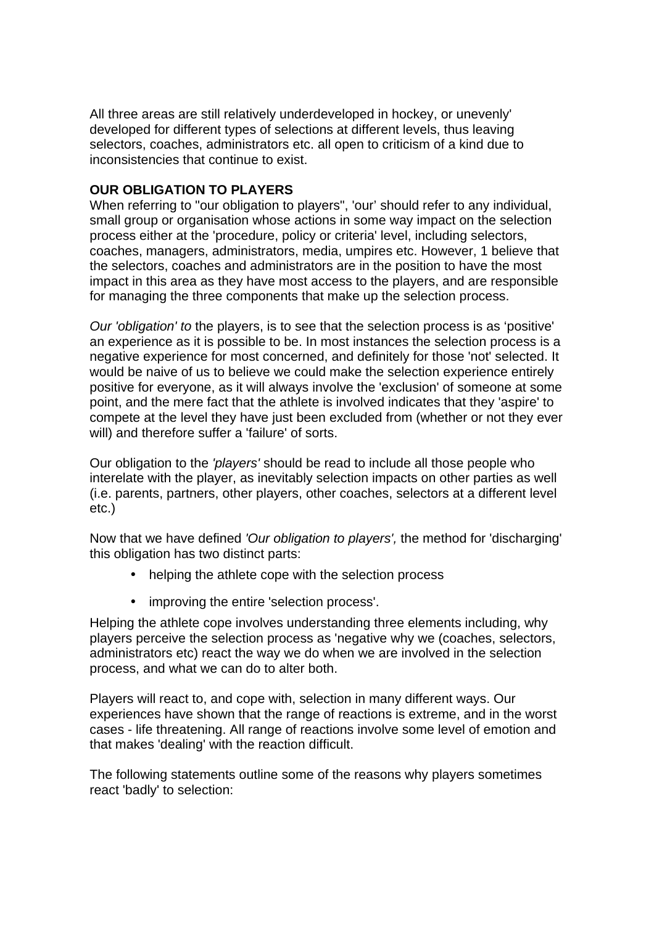All three areas are still relatively underdeveloped in hockey, or unevenly' developed for different types of selections at different levels, thus leaving selectors, coaches, administrators etc. all open to criticism of a kind due to inconsistencies that continue to exist.

#### **OUR OBLIGATION TO PLAYERS**

When referring to "our obligation to players", 'our' should refer to any individual, small group or organisation whose actions in some way impact on the selection process either at the 'procedure, policy or criteria' level, including selectors, coaches, managers, administrators, media, umpires etc. However, 1 believe that the selectors, coaches and administrators are in the position to have the most impact in this area as they have most access to the players, and are responsible for managing the three components that make up the selection process.

*Our 'obligation' to* the players, is to see that the selection process is as 'positive' an experience as it is possible to be. In most instances the selection process is a negative experience for most concerned, and definitely for those 'not' selected. It would be naive of us to believe we could make the selection experience entirely positive for everyone, as it will always involve the 'exclusion' of someone at some point, and the mere fact that the athlete is involved indicates that they 'aspire' to compete at the level they have just been excluded from (whether or not they ever will) and therefore suffer a 'failure' of sorts.

Our obligation to the *'players'* should be read to include all those people who interelate with the player, as inevitably selection impacts on other parties as well (i.e. parents, partners, other players, other coaches, selectors at a different level etc.)

Now that we have defined *'Our obligation to players',* the method for 'discharging' this obligation has two distinct parts:

- helping the athlete cope with the selection process
- improving the entire 'selection process'.

Helping the athlete cope involves understanding three elements including, why players perceive the selection process as 'negative why we (coaches, selectors, administrators etc) react the way we do when we are involved in the selection process, and what we can do to alter both.

Players will react to, and cope with, selection in many different ways. Our experiences have shown that the range of reactions is extreme, and in the worst cases - life threatening. All range of reactions involve some level of emotion and that makes 'dealing' with the reaction difficult.

The following statements outline some of the reasons why players sometimes react 'badly' to selection: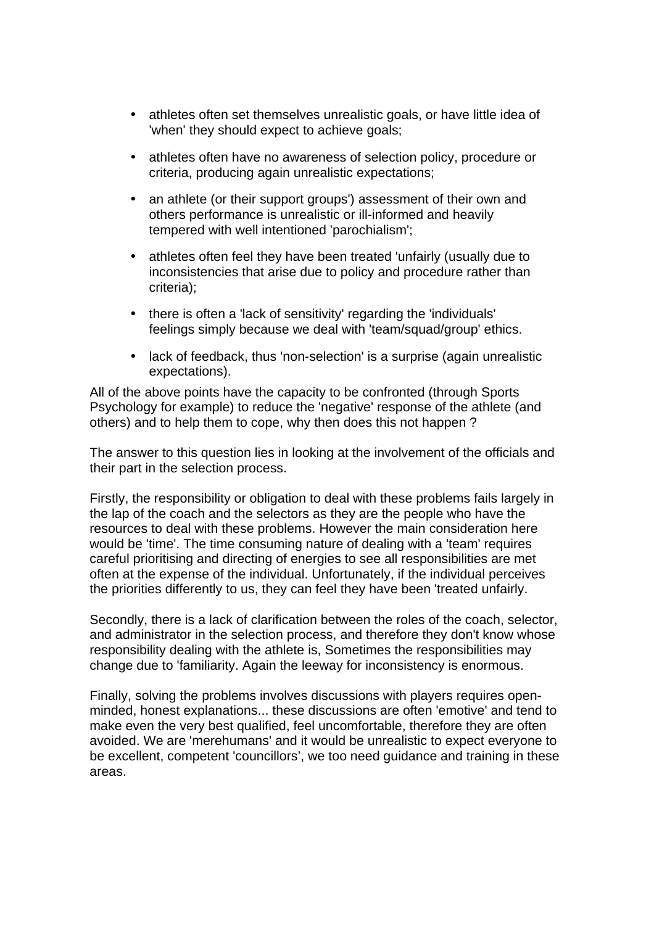- athletes often set themselves unrealistic goals, or have little idea of 'when' they should expect to achieve goals;
- athletes often have no awareness of selection policy, procedure or criteria, producing again unrealistic expectations;
- an athlete (or their support groups') assessment of their own and others performance is unrealistic or ill-informed and heavily tempered with well intentioned 'parochialism';
- athletes often feel they have been treated 'unfairly (usually due to inconsistencies that arise due to policy and procedure rather than criteria);
- there is often a 'lack of sensitivity' regarding the 'individuals' feelings simply because we deal with 'team/squad/group' ethics.
- lack of feedback, thus 'non-selection' is a surprise (again unrealistic expectations).

All of the above points have the capacity to be confronted (through Sports Psychology for example) to reduce the 'negative' response of the athlete (and others) and to help them to cope, why then does this not happen ?

The answer to this question lies in looking at the involvement of the officials and their part in the selection process.

Firstly, the responsibility or obligation to deal with these problems fails largely in the lap of the coach and the selectors as they are the people who have the resources to deal with these problems. However the main consideration here would be 'time'. The time consuming nature of dealing with a 'team' requires careful prioritising and directing of energies to see all responsibilities are met often at the expense of the individual. Unfortunately, if the individual perceives the priorities differently to us, they can feel they have been 'treated unfairly.

Secondly, there is a lack of clarification between the roles of the coach, selector, and administrator in the selection process, and therefore they don't know whose responsibility dealing with the athlete is, Sometimes the responsibilities may change due to 'familiarity. Again the leeway for inconsistency is enormous.

Finally, solving the problems involves discussions with players requires openminded, honest explanations... these discussions are often 'emotive' and tend to make even the very best qualified, feel uncomfortable, therefore they are often avoided. We are 'merehumans' and it would be unrealistic to expect everyone to be excellent, competent 'councillors', we too need guidance and training in these areas.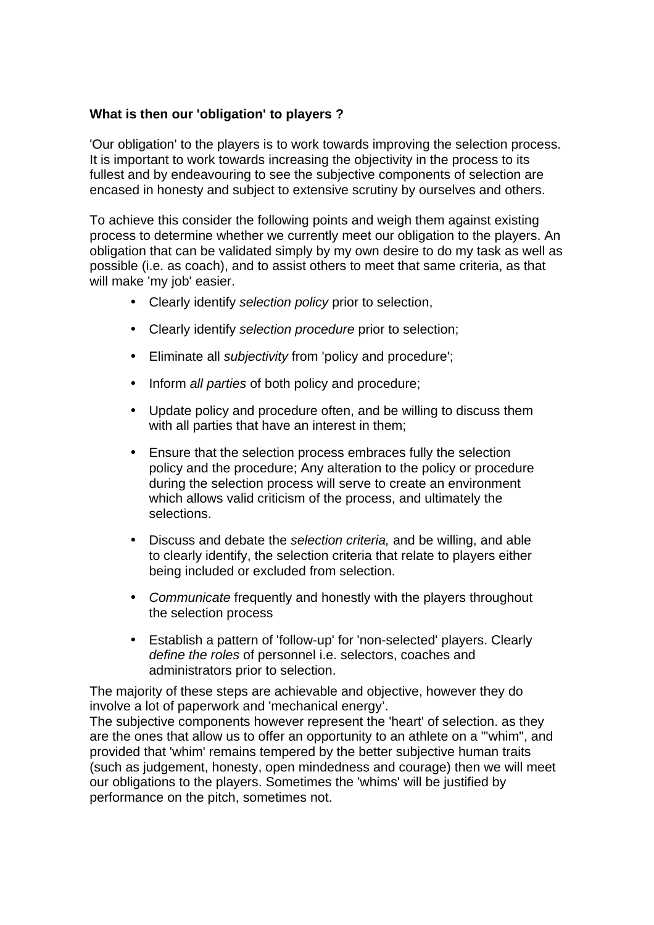#### **What is then our 'obligation' to players ?**

'Our obligation' to the players is to work towards improving the selection process. It is important to work towards increasing the objectivity in the process to its fullest and by endeavouring to see the subjective components of selection are encased in honesty and subject to extensive scrutiny by ourselves and others.

To achieve this consider the following points and weigh them against existing process to determine whether we currently meet our obligation to the players. An obligation that can be validated simply by my own desire to do my task as well as possible (i.e. as coach), and to assist others to meet that same criteria, as that will make 'my job' easier.

- Clearly identify *selection policy* prior to selection,
- Clearly identify *selection procedure* prior to selection;
- Eliminate all *subjectivity* from 'policy and procedure';
- Inform *all parties* of both policy and procedure;
- Update policy and procedure often, and be willing to discuss them with all parties that have an interest in them;
- Ensure that the selection process embraces fully the selection policy and the procedure; Any alteration to the policy or procedure during the selection process will serve to create an environment which allows valid criticism of the process, and ultimately the selections.
- Discuss and debate the *selection criteria,* and be willing, and able to clearly identify, the selection criteria that relate to players either being included or excluded from selection.
- *Communicate* frequently and honestly with the players throughout the selection process
- Establish a pattern of 'follow-up' for 'non-selected' players. Clearly *define the roles* of personnel i.e. selectors, coaches and administrators prior to selection.

The majority of these steps are achievable and objective, however they do involve a lot of paperwork and 'mechanical energy'.

The subjective components however represent the 'heart' of selection. as they are the ones that allow us to offer an opportunity to an athlete on a "'whim", and provided that 'whim' remains tempered by the better subjective human traits (such as judgement, honesty, open mindedness and courage) then we will meet our obligations to the players. Sometimes the 'whims' will be justified by performance on the pitch, sometimes not.